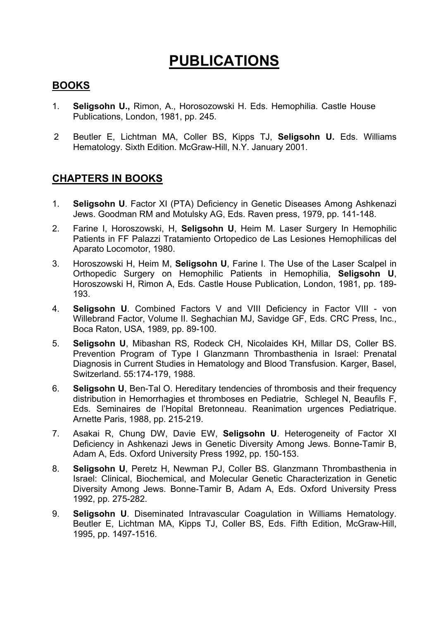## **PUBLICATIONS**

## **BOOKS**

- 1. **Seligsohn U.,** Rimon, A., Horosozowski H. Eds. Hemophilia. Castle House Publications, London, 1981, pp. 245.
- 2 Beutler E, Lichtman MA, Coller BS, Kipps TJ, **Seligsohn U.** Eds. Williams Hematology. Sixth Edition. McGraw-Hill, N.Y. January 2001.

## **CHAPTERS IN BOOKS**

- 1. **Seligsohn U**. Factor XI (PTA) Deficiency in Genetic Diseases Among Ashkenazi Jews. Goodman RM and Motulsky AG, Eds. Raven press, 1979, pp. 141-148.
- 2. Farine I, Horoszowski, H, **Seligsohn U**, Heim M. Laser Surgery In Hemophilic Patients in FF Palazzi Tratamiento Ortopedico de Las Lesiones Hemophilicas del Aparato Locomotor, 1980.
- 3. Horoszowski H, Heim M, **Seligsohn U**, Farine I. The Use of the Laser Scalpel in Orthopedic Surgery on Hemophilic Patients in Hemophilia, **Seligsohn U**, Horoszowski H, Rimon A, Eds. Castle House Publication, London, 1981, pp. 189- 193.
- 4. **Seligsohn U**. Combined Factors V and VIII Deficiency in Factor VIII von Willebrand Factor, Volume II. Seghachian MJ, Savidge GF, Eds. CRC Press, Inc., Boca Raton, USA, 1989, pp. 89-100.
- 5. **Seligsohn U**, Mibashan RS, Rodeck CH, Nicolaides KH, Millar DS, Coller BS. Prevention Program of Type I Glanzmann Thrombasthenia in Israel: Prenatal Diagnosis in Current Studies in Hematology and Blood Transfusion. Karger, Basel, Switzerland. 55:174-179, 1988.
- 6. **Seligsohn U**, Ben-Tal O. Hereditary tendencies of thrombosis and their frequency distribution in Hemorrhagies et thromboses en Pediatrie, Schlegel N, Beaufils F, Eds. Seminaires de l'Hopital Bretonneau. Reanimation urgences Pediatrique. Arnette Paris, 1988, pp. 215-219.
- 7. Asakai R, Chung DW, Davie EW, **Seligsohn U**. Heterogeneity of Factor XI Deficiency in Ashkenazi Jews in Genetic Diversity Among Jews. Bonne-Tamir B, Adam A, Eds. Oxford University Press 1992, pp. 150-153.
- 8. **Seligsohn U**, Peretz H, Newman PJ, Coller BS. Glanzmann Thrombasthenia in Israel: Clinical, Biochemical, and Molecular Genetic Characterization in Genetic Diversity Among Jews. Bonne-Tamir B, Adam A, Eds. Oxford University Press 1992, pp. 275-282.
- 9. **Seligsohn U**. Diseminated Intravascular Coagulation in Williams Hematology. Beutler E, Lichtman MA, Kipps TJ, Coller BS, Eds. Fifth Edition, McGraw-Hill, 1995, pp. 1497-1516.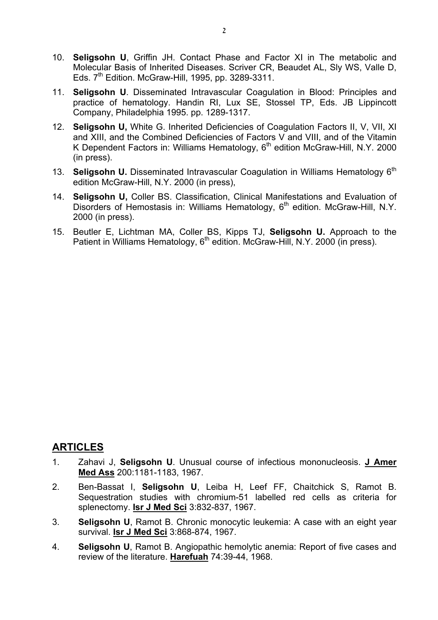- 10. **Seligsohn U**, Griffin JH. Contact Phase and Factor XI in The metabolic and Molecular Basis of Inherited Diseases. Scriver CR, Beaudet AL, Sly WS, Valle D, Eds.  $7<sup>th</sup>$  Edition. McGraw-Hill, 1995, pp. 3289-3311.
- 11. **Seligsohn U**. Disseminated Intravascular Coagulation in Blood: Principles and practice of hematology. Handin RI, Lux SE, Stossel TP, Eds. JB Lippincott Company, Philadelphia 1995. pp. 1289-1317.
- 12. **Seligsohn U,** White G. Inherited Deficiencies of Coagulation Factors II, V, VII, XI and XIII, and the Combined Deficiencies of Factors V and VIII, and of the Vitamin K Dependent Factors in: Williams Hematology,  $6<sup>th</sup>$  edition McGraw-Hill, N.Y. 2000 (in press).
- 13. **Seligsohn U.** Disseminated Intravascular Coagulation in Williams Hematology 6<sup>th</sup> edition McGraw-Hill, N.Y. 2000 (in press),
- 14. **Seligsohn U,** Coller BS. Classification, Clinical Manifestations and Evaluation of Disorders of Hemostasis in: Williams Hematology, 6<sup>th</sup> edition. McGraw-Hill, N.Y. 2000 (in press).
- 15. Beutler E, Lichtman MA, Coller BS, Kipps TJ, **Seligsohn U.** Approach to the Patient in Williams Hematology, 6<sup>th</sup> edition. McGraw-Hill, N.Y. 2000 (in press).

## **ARTICLES**

- 1. Zahavi J, **Seligsohn U**. Unusual course of infectious mononucleosis. **J Amer Med Ass** 200:1181-1183, 1967.
- 2. Ben-Bassat I, **Seligsohn U**, Leiba H, Leef FF, Chaitchick S, Ramot B. Sequestration studies with chromium-51 labelled red cells as criteria for splenectomy. **Isr J Med Sci** 3:832-837, 1967.
- 3. **Seligsohn U**, Ramot B. Chronic monocytic leukemia: A case with an eight year survival. **Isr J Med Sci** 3:868-874, 1967.
- 4. **Seligsohn U**, Ramot B. Angiopathic hemolytic anemia: Report of five cases and review of the literature. **Harefuah** 74:39-44, 1968.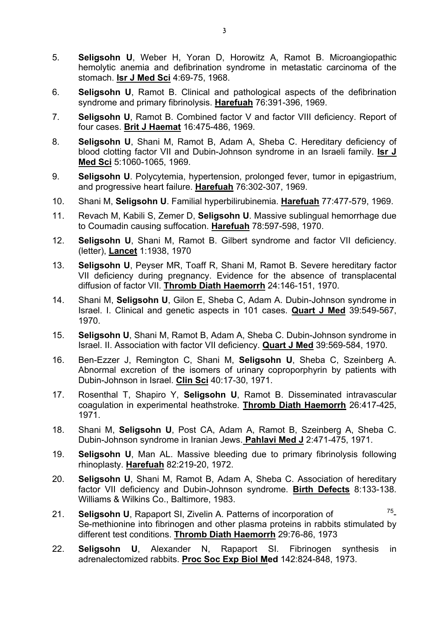- 5. **Seligsohn U**, Weber H, Yoran D, Horowitz A, Ramot B. Microangiopathic hemolytic anemia and defibrination syndrome in metastatic carcinoma of the stomach. **Isr J Med Sci** 4:69-75, 1968.
- 6. **Seligsohn U**, Ramot B. Clinical and pathological aspects of the defibrination syndrome and primary fibrinolysis. **Harefuah** 76:391-396, 1969.
- 7. **Seligsohn U**, Ramot B. Combined factor V and factor VIII deficiency. Report of four cases. **Brit J Haemat** 16:475-486, 1969.
- 8. **Seligsohn U**, Shani M, Ramot B, Adam A, Sheba C. Hereditary deficiency of blood clotting factor VII and Dubin-Johnson syndrome in an Israeli family. **Isr J Med Sci** 5:1060-1065, 1969.
- 9. **Seligsohn U**. Polycytemia, hypertension, prolonged fever, tumor in epigastrium, and progressive heart failure. **Harefuah** 76:302-307, 1969.
- 10. Shani M, **Seligsohn U**. Familial hyperbilirubinemia. **Harefuah** 77:477-579, 1969.
- 11. Revach M, Kabili S, Zemer D, **Seligsohn U**. Massive sublingual hemorrhage due to Coumadin causing suffocation. **Harefuah** 78:597-598, 1970.
- 12. **Seligsohn U**, Shani M, Ramot B. Gilbert syndrome and factor VII deficiency. (letter), **Lancet** 1:1938, 1970
- 13. **Seligsohn U**, Peyser MR, Toaff R, Shani M, Ramot B. Severe hereditary factor VII deficiency during pregnancy. Evidence for the absence of transplacental diffusion of factor VII. **Thromb Diath Haemorrh** 24:146-151, 1970.
- 14. Shani M, **Seligsohn U**, Gilon E, Sheba C, Adam A. Dubin-Johnson syndrome in Israel. I. Clinical and genetic aspects in 101 cases. **Quart J Med** 39:549-567, 1970.
- 15. **Seligsohn U**, Shani M, Ramot B, Adam A, Sheba C. Dubin-Johnson syndrome in Israel. II. Association with factor VII deficiency. **Quart J Med** 39:569-584, 1970.
- 16. Ben-Ezzer J, Remington C, Shani M, **Seligsohn U**, Sheba C, Szeinberg A. Abnormal excretion of the isomers of urinary coproporphyrin by patients with Dubin-Johnson in Israel. **Clin Sci** 40:17-30, 1971.
- 17. Rosenthal T, Shapiro Y, **Seligsohn U**, Ramot B. Disseminated intravascular coagulation in experimental heathstroke. **Thromb Diath Haemorrh** 26:417-425, 1971.
- 18. Shani M, **Seligsohn U**, Post CA, Adam A, Ramot B, Szeinberg A, Sheba C. Dubin-Johnson syndrome in Iranian Jews. **Pahlavi Med J** 2:471-475, 1971.
- 19. **Seligsohn U**, Man AL. Massive bleeding due to primary fibrinolysis following rhinoplasty. **Harefuah** 82:219-20, 1972.
- 20. **Seligsohn U**, Shani M, Ramot B, Adam A, Sheba C. Association of hereditary factor VII deficiency and Dubin-Johnson syndrome. **Birth Defects** 8:133-138. Williams & Wilkins Co., Baltimore, 1983.
- 21. **Seligsohn U**, Rapaport SI, Zivelin A. Patterns of incorporation of 75- Se-methionine into fibrinogen and other plasma proteins in rabbits stimulated by different test conditions. **Thromb Diath Haemorrh** 29:76-86, 1973
- 22. **Seligsohn U**, Alexander N, Rapaport SI. Fibrinogen synthesis in adrenalectomized rabbits. **Proc Soc Exp Biol Med** 142:824-848, 1973.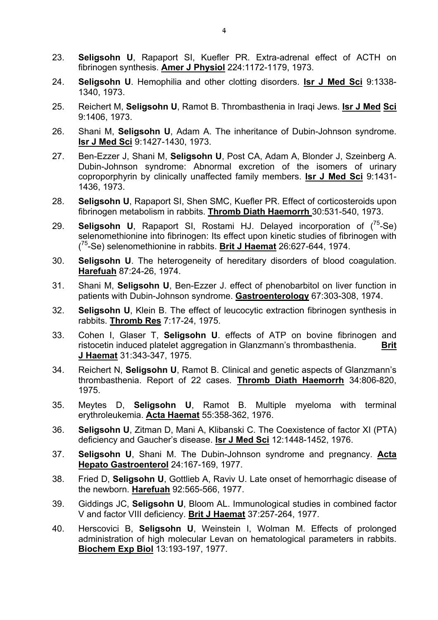- 23. **Seligsohn U**, Rapaport SI, Kuefler PR. Extra-adrenal effect of ACTH on fibrinogen synthesis. **Amer J Physiol** 224:1172-1179, 1973.
- 24. **Seligsohn U**. Hemophilia and other clotting disorders. **Isr J Med Sci** 9:1338- 1340, 1973.
- 25. Reichert M, **Seligsohn U**, Ramot B. Thrombasthenia in Iraqi Jews. **Isr J Med Sci** 9:1406, 1973.
- 26. Shani M, **Seligsohn U**, Adam A. The inheritance of Dubin-Johnson syndrome. **Isr J Med Sci** 9:1427-1430, 1973.
- 27. Ben-Ezzer J, Shani M, **Seligsohn U**, Post CA, Adam A, Blonder J, Szeinberg A. Dubin-Johnson syndrome: Abnormal excretion of the isomers of urinary coproporphyrin by clinically unaffected family members. **Isr J Med Sci** 9:1431- 1436, 1973.
- 28. **Seligsohn U**, Rapaport SI, Shen SMC, Kuefler PR. Effect of corticosteroids upon fibrinogen metabolism in rabbits. **Thromb Diath Haemorrh** 30:531-540, 1973.
- 29. **Seligsohn U**, Rapaport SI, Rostami HJ. Delayed incorporation of (75-Se) selenomethionine into fibrinogen: Its effect upon kinetic studies of fibrinogen with ( 75-Se) selenomethionine in rabbits. **Brit J Haemat** 26:627-644, 1974.
- 30. **Seligsohn U**. The heterogeneity of hereditary disorders of blood coagulation. **Harefuah** 87:24-26, 1974.
- 31. Shani M, **Seligsohn U**, Ben-Ezzer J. effect of phenobarbitol on liver function in patients with Dubin-Johnson syndrome. **Gastroenterology** 67:303-308, 1974.
- 32. **Seligsohn U**, Klein B. The effect of leucocytic extraction fibrinogen synthesis in rabbits. **Thromb Res** 7:17-24, 1975.
- 33. Cohen I, Glaser T, **Seligsohn U**. effects of ATP on bovine fibrinogen and ristocetin induced platelet aggregation in Glanzmann's thrombasthenia. **Brit J Haemat** 31:343-347, 1975.
- 34. Reichert N, **Seligsohn U**, Ramot B. Clinical and genetic aspects of Glanzmann's thrombasthenia. Report of 22 cases. **Thromb Diath Haemorrh** 34:806-820, 1975.
- 35. Meytes D, **Seligsohn U**, Ramot B. Multiple myeloma with terminal erythroleukemia. **Acta Haemat** 55:358-362, 1976.
- 36. **Seligsohn U**, Zitman D, Mani A, Klibanski C. The Coexistence of factor XI (PTA) deficiency and Gaucher's disease. **Isr J Med Sci** 12:1448-1452, 1976.
- 37. **Seligsohn U**, Shani M. The Dubin-Johnson syndrome and pregnancy. **Acta Hepato Gastroenterol** 24:167-169, 1977.
- 38. Fried D, **Seligsohn U**, Gottlieb A, Raviv U. Late onset of hemorrhagic disease of the newborn. **Harefuah** 92:565-566, 1977.
- 39. Giddings JC, **Seligsohn U**, Bloom AL. Immunological studies in combined factor V and factor VIII deficiency. **Brit J Haemat** 37:257-264, 1977.
- 40. Herscovici B, **Seligsohn U**, Weinstein I, Wolman M. Effects of prolonged administration of high molecular Levan on hematological parameters in rabbits. **Biochem Exp Biol** 13:193-197, 1977.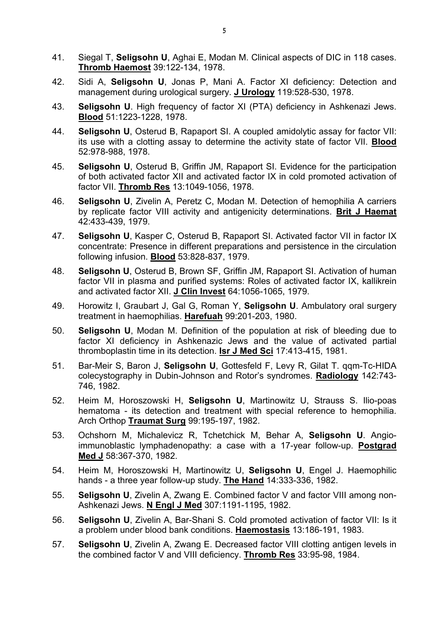- 41. Siegal T, **Seligsohn U**, Aghai E, Modan M. Clinical aspects of DIC in 118 cases. **Thromb Haemost** 39:122-134, 1978.
- 42. Sidi A, **Seligsohn U**, Jonas P, Mani A. Factor XI deficiency: Detection and management during urological surgery. **J Urology** 119:528-530, 1978.
- 43. **Seligsohn U**. High frequency of factor XI (PTA) deficiency in Ashkenazi Jews. **Blood** 51:1223-1228, 1978.
- 44. **Seligsohn U**, Osterud B, Rapaport SI. A coupled amidolytic assay for factor VII: its use with a clotting assay to determine the activity state of factor VII. **Blood** 52:978-988, 1978.
- 45. **Seligsohn U**, Osterud B, Griffin JM, Rapaport SI. Evidence for the participation of both activated factor XII and activated factor IX in cold promoted activation of factor VII. **Thromb Res** 13:1049-1056, 1978.
- 46. **Seligsohn U**, Zivelin A, Peretz C, Modan M. Detection of hemophilia A carriers by replicate factor VIII activity and antigenicity determinations. **Brit J Haemat** 42:433-439, 1979.
- 47. **Seligsohn U**, Kasper C, Osterud B, Rapaport SI. Activated factor VII in factor IX concentrate: Presence in different preparations and persistence in the circulation following infusion. **Blood** 53:828-837, 1979.
- 48. **Seligsohn U**, Osterud B, Brown SF, Griffin JM, Rapaport SI. Activation of human factor VII in plasma and purified systems: Roles of activated factor IX, kallikrein and activated factor XII. **J Clin Invest** 64:1056-1065, 1979.
- 49. Horowitz I, Graubart J, Gal G, Roman Y, **Seligsohn U**. Ambulatory oral surgery treatment in haemophilias. **Harefuah** 99:201-203, 1980.
- 50. **Seligsohn U**, Modan M. Definition of the population at risk of bleeding due to factor XI deficiency in Ashkenazic Jews and the value of activated partial thromboplastin time in its detection. **Isr J Med Sci** 17:413-415, 1981.
- 51. Bar-Meir S, Baron J, **Seligsohn U**, Gottesfeld F, Levy R, Gilat T. qqm-Tc-HIDA colecystography in Dubin-Johnson and Rotor's syndromes. **Radiology** 142:743- 746, 1982.
- 52. Heim M, Horoszowski H, **Seligsohn U**, Martinowitz U, Strauss S. Ilio-poas hematoma - its detection and treatment with special reference to hemophilia. Arch Orthop **Traumat Surg** 99:195-197, 1982.
- 53. Ochshorn M, Michalevicz R, Tchetchick M, Behar A, **Seligsohn U**. Angioimmunoblastic lymphadenopathy: a case with a 17-year follow-up. **Postgrad Med J** 58:367-370, 1982.
- 54. Heim M, Horoszowski H, Martinowitz U, **Seligsohn U**, Engel J. Haemophilic hands - a three year follow-up study. **The Hand** 14:333-336, 1982.
- 55. **Seligsohn U**, Zivelin A, Zwang E. Combined factor V and factor VIII among non-Ashkenazi Jews. **N Engl J Med** 307:1191-1195, 1982.
- 56. **Seligsohn U**, Zivelin A, Bar-Shani S. Cold promoted activation of factor VII: Is it a problem under blood bank conditions. **Haemostasis** 13:186-191, 1983.
- 57. **Seligsohn U**, Zivelin A, Zwang E. Decreased factor VIII clotting antigen levels in the combined factor V and VIII deficiency. **Thromb Res** 33:95-98, 1984.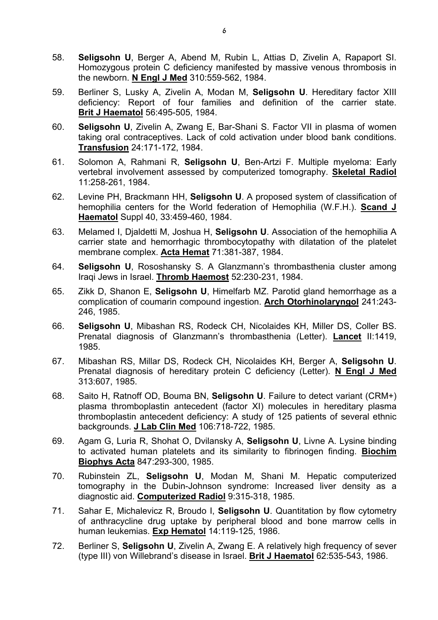- 58. **Seligsohn U**, Berger A, Abend M, Rubin L, Attias D, Zivelin A, Rapaport SI. Homozygous protein C deficiency manifested by massive venous thrombosis in the newborn. **N Engl J Med** 310:559-562, 1984.
- 59. Berliner S, Lusky A, Zivelin A, Modan M, **Seligsohn U**. Hereditary factor XIII deficiency: Report of four families and definition of the carrier state. **Brit J Haematol** 56:495-505, 1984.
- 60. **Seligsohn U**, Zivelin A, Zwang E, Bar-Shani S. Factor VII in plasma of women taking oral contraceptives. Lack of cold activation under blood bank conditions. **Transfusion** 24:171-172, 1984.
- 61. Solomon A, Rahmani R, **Seligsohn U**, Ben-Artzi F. Multiple myeloma: Early vertebral involvement assessed by computerized tomography. **Skeletal Radiol** 11:258-261, 1984.
- 62. Levine PH, Brackmann HH, **Seligsohn U**. A proposed system of classification of hemophilia centers for the World federation of Hemophilia (W.F.H.). **Scand J Haematol** Suppl 40, 33:459-460, 1984.
- 63. Melamed I, Djaldetti M, Joshua H, **Seligsohn U**. Association of the hemophilia A carrier state and hemorrhagic thrombocytopathy with dilatation of the platelet membrane complex. **Acta Hemat** 71:381-387, 1984.
- 64. **Seligsohn U**, Rososhansky S. A Glanzmann's thrombasthenia cluster among Iraqi Jews in Israel. **Thromb Haemost** 52:230-231, 1984.
- 65. Zikk D, Shanon E, **Seligsohn U**, Himelfarb MZ. Parotid gland hemorrhage as a complication of coumarin compound ingestion. **Arch Otorhinolaryngol** 241:243- 246, 1985.
- 66. **Seligsohn U**, Mibashan RS, Rodeck CH, Nicolaides KH, Miller DS, Coller BS. Prenatal diagnosis of Glanzmann's thrombasthenia (Letter). **Lancet** II:1419, 1985.
- 67. Mibashan RS, Millar DS, Rodeck CH, Nicolaides KH, Berger A, **Seligsohn U**. Prenatal diagnosis of hereditary protein C deficiency (Letter). **N Engl J Med** 313:607, 1985.
- 68. Saito H, Ratnoff OD, Bouma BN, **Seligsohn U**. Failure to detect variant (CRM+) plasma thromboplastin antecedent (factor XI) molecules in hereditary plasma thromboplastin antecedent deficiency: A study of 125 patients of several ethnic backgrounds. **J Lab Clin Med** 106:718-722, 1985.
- 69. Agam G, Luria R, Shohat O, Dvilansky A, **Seligsohn U**, Livne A. Lysine binding to activated human platelets and its similarity to fibrinogen finding. **Biochim Biophys Acta** 847:293-300, 1985.
- 70. Rubinstein ZL, **Seligsohn U**, Modan M, Shani M. Hepatic computerized tomography in the Dubin-Johnson syndrome: Increased liver density as a diagnostic aid. **Computerized Radiol** 9:315-318, 1985.
- 71. Sahar E, Michalevicz R, Broudo I, **Seligsohn U**. Quantitation by flow cytometry of anthracycline drug uptake by peripheral blood and bone marrow cells in human leukemias. **Exp Hematol** 14:119-125, 1986.
- 72. Berliner S, **Seligsohn U**, Zivelin A, Zwang E. A relatively high frequency of sever (type III) von Willebrand's disease in Israel. **Brit J Haematol** 62:535-543, 1986.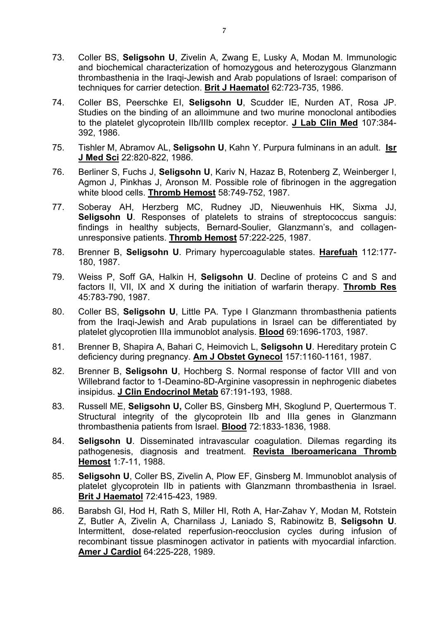- 73. Coller BS, **Seligsohn U**, Zivelin A, Zwang E, Lusky A, Modan M. Immunologic and biochemical characterization of homozygous and heterozygous Glanzmann thrombasthenia in the Iraqi-Jewish and Arab populations of Israel: comparison of techniques for carrier detection. **Brit J Haematol** 62:723-735, 1986.
- 74. Coller BS, Peerschke EI, **Seligsohn U**, Scudder IE, Nurden AT, Rosa JP. Studies on the binding of an alloimmune and two murine monoclonal antibodies to the platelet glycoprotein IIb/IIIb complex receptor. **J Lab Clin Med** 107:384- 392, 1986.
- 75. Tishler M, Abramov AL, **Seligsohn U**, Kahn Y. Purpura fulminans in an adult. **Isr J Med Sci** 22:820-822, 1986.
- 76. Berliner S, Fuchs J, **Seligsohn U**, Kariv N, Hazaz B, Rotenberg Z, Weinberger I, Agmon J, Pinkhas J, Aronson M. Possible role of fibrinogen in the aggregation white blood cells. **Thromb Hemost** 58:749-752, 1987.
- 77. Soberay AH, Herzberg MC, Rudney JD, Nieuwenhuis HK, Sixma JJ, **Seligsohn U**. Responses of platelets to strains of streptococcus sanguis: findings in healthy subjects, Bernard-Soulier, Glanzmann's, and collagenunresponsive patients. **Thromb Hemost** 57:222-225, 1987.
- 78. Brenner B, **Seligsohn U**. Primary hypercoagulable states. **Harefuah** 112:177- 180, 1987.
- 79. Weiss P, Soff GA, Halkin H, **Seligsohn U**. Decline of proteins C and S and factors II, VII, IX and X during the initiation of warfarin therapy. **Thromb Res** 45:783-790, 1987.
- 80. Coller BS, **Seligsohn U**, Little PA. Type I Glanzmann thrombasthenia patients from the Iraqi-Jewish and Arab pupulations in Israel can be differentiated by platelet glycoprotien IIIa immunoblot analysis. **Blood** 69:1696-1703, 1987.
- 81. Brenner B, Shapira A, Bahari C, Heimovich L, **Seligsohn U**. Hereditary protein C deficiency during pregnancy. **Am J Obstet Gynecol** 157:1160-1161, 1987.
- 82. Brenner B, **Seligsohn U**, Hochberg S. Normal response of factor VIII and von Willebrand factor to 1-Deamino-8D-Arginine vasopressin in nephrogenic diabetes insipidus. **J Clin Endocrinol Metab** 67:191-193, 1988.
- 83. Russell ME, **Seligsohn U,** Coller BS, Ginsberg MH, Skoglund P, Quertermous T. Structural integrity of the glycoprotein IIb and IIIa genes in Glanzmann thrombasthenia patients from Israel. **Blood** 72:1833-1836, 1988.
- 84. **Seligsohn U**. Disseminated intravascular coagulation. Dilemas regarding its pathogenesis, diagnosis and treatment. **Revista Iberoamericana Thromb Hemost** 1:7-11, 1988.
- 85. **Seligsohn U**, Coller BS, Zivelin A, Plow EF, Ginsberg M. Immunoblot analysis of platelet glycoprotein IIb in patients with Glanzmann thrombasthenia in Israel. **Brit J Haematol** 72:415-423, 1989.
- 86. Barabsh GI, Hod H, Rath S, Miller HI, Roth A, Har-Zahav Y, Modan M, Rotstein Z, Butler A, Zivelin A, Charnilass J, Laniado S, Rabinowitz B, **Seligsohn U**. Intermittent, dose-related reperfusion-reocclusion cycles during infusion of recombinant tissue plasminogen activator in patients with myocardial infarction. **Amer J Cardiol** 64:225-228, 1989.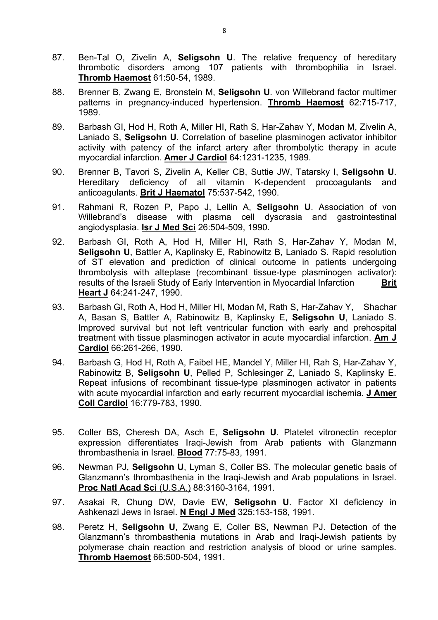- 87. Ben-Tal O, Zivelin A, **Seligsohn U**. The relative frequency of hereditary thrombotic disorders among 107 patients with thrombophilia in Israel. **Thromb Haemost** 61:50-54, 1989.
- 88. Brenner B, Zwang E, Bronstein M, **Seligsohn U**. von Willebrand factor multimer patterns in pregnancy-induced hypertension. **Thromb Haemost** 62:715-717, 1989.
- 89. Barbash GI, Hod H, Roth A, Miller HI, Rath S, Har-Zahav Y, Modan M, Zivelin A, Laniado S, **Seligsohn U**. Correlation of baseline plasminogen activator inhibitor activity with patency of the infarct artery after thrombolytic therapy in acute myocardial infarction. **Amer J Cardiol** 64:1231-1235, 1989.
- 90. Brenner B, Tavori S, Zivelin A, Keller CB, Suttie JW, Tatarsky I, **Seligsohn U**. Hereditary deficiency of all vitamin K-dependent procoagulants and anticoagulants. **Brit J Haematol** 75:537-542, 1990.
- 91. Rahmani R, Rozen P, Papo J, Lellin A, **Seligsohn U**. Association of von Willebrand's disease with plasma cell dyscrasia and gastrointestinal angiodysplasia. **Isr J Med Sci** 26:504-509, 1990.
- 92. Barbash GI, Roth A, Hod H, Miller HI, Rath S, Har-Zahav Y, Modan M, **Seligsohn U**, Battler A, Kaplinsky E, Rabinowitz B, Laniado S. Rapid resolution of ST elevation and prediction of clinical outcome in patients undergoing thrombolysis with alteplase (recombinant tissue-type plasminogen activator): results of the Israeli Study of Early Intervention in Myocardial Infarction **Brit Heart J** 64:241-247, 1990.
- 93. Barbash GI, Roth A, Hod H, Miller HI, Modan M, Rath S, Har-Zahav Y, Shachar A, Basan S, Battler A, Rabinowitz B, Kaplinsky E, **Seligsohn U**, Laniado S. Improved survival but not left ventricular function with early and prehospital treatment with tissue plasminogen activator in acute myocardial infarction. **Am J Cardiol** 66:261-266, 1990.
- 94. Barbash G, Hod H, Roth A, Faibel HE, Mandel Y, Miller HI, Rah S, Har-Zahav Y, Rabinowitz B, **Seligsohn U**, Pelled P, Schlesinger Z, Laniado S, Kaplinsky E. Repeat infusions of recombinant tissue-type plasminogen activator in patients with acute myocardial infarction and early recurrent myocardial ischemia. **J Amer Coll Cardiol** 16:779-783, 1990.
- 95. Coller BS, Cheresh DA, Asch E, **Seligsohn U**. Platelet vitronectin receptor expression differentiates Iraqi-Jewish from Arab patients with Glanzmann thrombasthenia in Israel. **Blood** 77:75-83, 1991.
- 96. Newman PJ, **Seligsohn U**, Lyman S, Coller BS. The molecular genetic basis of Glanzmann's thrombasthenia in the Iraqi-Jewish and Arab populations in Israel. **Proc Natl Acad Sci** (U.S.A.) 88:3160-3164, 1991.
- 97. Asakai R, Chung DW, Davie EW, **Seligsohn U**. Factor XI deficiency in Ashkenazi Jews in Israel. **N Engl J Med** 325:153-158, 1991.
- 98. Peretz H, **Seligsohn U**, Zwang E, Coller BS, Newman PJ. Detection of the Glanzmann's thrombasthenia mutations in Arab and Iraqi-Jewish patients by polymerase chain reaction and restriction analysis of blood or urine samples. **Thromb Haemost** 66:500-504, 1991.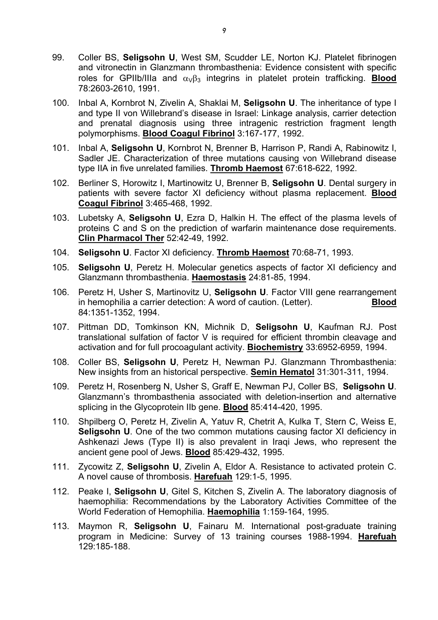- 99. Coller BS, **Seligsohn U**, West SM, Scudder LE, Norton KJ. Platelet fibrinogen and vitronectin in Glanzmann thrombasthenia: Evidence consistent with specific roles for GPIIb/IIIa and  $α<sub>ν</sub>β<sub>3</sub>$  integrins in platelet protein trafficking. **Blood** 78:2603-2610, 1991.
- 100. Inbal A, Kornbrot N, Zivelin A, Shaklai M, **Seligsohn U**. The inheritance of type I and type II von Willebrand's disease in Israel: Linkage analysis, carrier detection and prenatal diagnosis using three intragenic restriction fragment length polymorphisms. **Blood Coagul Fibrinol** 3:167-177, 1992.
- 101. Inbal A, **Seligsohn U**, Kornbrot N, Brenner B, Harrison P, Randi A, Rabinowitz I, Sadler JE. Characterization of three mutations causing von Willebrand disease type IIA in five unrelated families. **Thromb Haemost** 67:618-622, 1992.
- 102. Berliner S, Horowitz I, Martinowitz U, Brenner B, **Seligsohn U**. Dental surgery in patients with severe factor XI deficiency without plasma replacement. **Blood Coagul Fibrinol** 3:465-468, 1992.
- 103. Lubetsky A, **Seligsohn U**, Ezra D, Halkin H. The effect of the plasma levels of proteins C and S on the prediction of warfarin maintenance dose requirements. **Clin Pharmacol Ther** 52:42-49, 1992.
- 104. **Seligsohn U**. Factor XI deficiency. **Thromb Haemost** 70:68-71, 1993.
- 105. **Seligsohn U**, Peretz H. Molecular genetics aspects of factor XI deficiency and Glanzmann thrombasthenia. **Haemostasis** 24:81-85, 1994.
- 106. Peretz H, Usher S, Martinovitz U, **Seligsohn U**. Factor VIII gene rearrangement in hemophilia a carrier detection: A word of caution. (Letter). **Blood** 84:1351-1352, 1994.
- 107. Pittman DD, Tomkinson KN, Michnik D, **Seligsohn U**, Kaufman RJ. Post translational sulfation of factor V is required for efficient thrombin cleavage and activation and for full procoagulant activity. **Biochemistry** 33:6952-6959, 1994.
- 108. Coller BS, **Seligsohn U**, Peretz H, Newman PJ. Glanzmann Thrombasthenia: New insights from an historical perspective. **Semin Hematol** 31:301-311, 1994.
- 109. Peretz H, Rosenberg N, Usher S, Graff E, Newman PJ, Coller BS, **Seligsohn U**. Glanzmann's thrombasthenia associated with deletion-insertion and alternative splicing in the Glycoprotein IIb gene. **Blood** 85:414-420, 1995.
- 110. Shpilberg O, Peretz H, Zivelin A, Yatuv R, Chetrit A, Kulka T, Stern C, Weiss E, **Seligsohn U.** One of the two common mutations causing factor XI deficiency in Ashkenazi Jews (Type II) is also prevalent in Iraqi Jews, who represent the ancient gene pool of Jews. **Blood** 85:429-432, 1995.
- 111. Zycowitz Z, **Seligsohn U**, Zivelin A, Eldor A. Resistance to activated protein C. A novel cause of thrombosis. **Harefuah** 129:1-5, 1995.
- 112. Peake I, **Seligsohn U**, Gitel S, Kitchen S, Zivelin A. The laboratory diagnosis of haemophilia: Recommendations by the Laboratory Activities Committee of the World Federation of Hemophilia. **Haemophilia** 1:159-164, 1995.
- 113. Maymon R, **Seligsohn U**, Fainaru M. International post-graduate training program in Medicine: Survey of 13 training courses 1988-1994. **Harefuah** 129:185-188.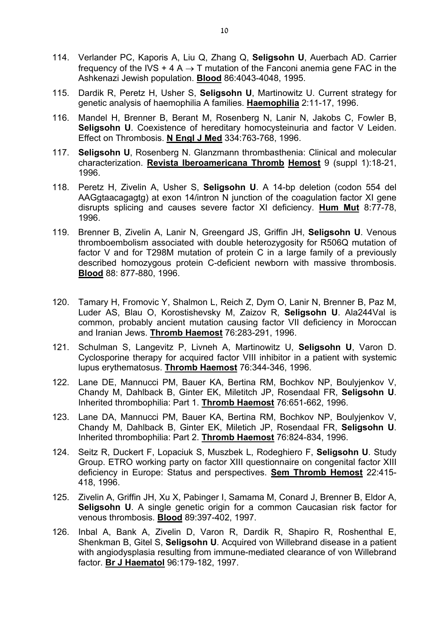- 114. Verlander PC, Kaporis A, Liu Q, Zhang Q, **Seligsohn U**, Auerbach AD. Carrier frequency of the IVS + 4 A  $\rightarrow$  T mutation of the Fanconi anemia gene FAC in the Ashkenazi Jewish population. **Blood** 86:4043-4048, 1995.
- 115. Dardik R, Peretz H, Usher S, **Seligsohn U**, Martinowitz U. Current strategy for genetic analysis of haemophilia A families. **Haemophilia** 2:11-17, 1996.
- 116. Mandel H, Brenner B, Berant M, Rosenberg N, Lanir N, Jakobs C, Fowler B, **Seligsohn U**. Coexistence of hereditary homocysteinuria and factor V Leiden. Effect on Thrombosis. **N Engl J Med** 334:763-768, 1996.
- 117. **Seligsohn U**, Rosenberg N. Glanzmann thrombasthenia: Clinical and molecular characterization. **Revista Iberoamericana Thromb Hemost** 9 (suppl 1):18-21, 1996.
- 118. Peretz H, Zivelin A, Usher S, **Seligsohn U**. A 14-bp deletion (codon 554 del AAGgtaacagagtg) at exon 14/intron N junction of the coagulation factor XI gene disrupts splicing and causes severe factor XI deficiency. **Hum Mut** 8:77-78, 1996.
- 119. Brenner B, Zivelin A, Lanir N, Greengard JS, Griffin JH, **Seligsohn U**. Venous thromboembolism associated with double heterozygosity for R506Q mutation of factor V and for T298M mutation of protein C in a large family of a previously described homozygous protein C-deficient newborn with massive thrombosis. **Blood** 88: 877-880, 1996.
- 120. Tamary H, Fromovic Y, Shalmon L, Reich Z, Dym O, Lanir N, Brenner B, Paz M, Luder AS, Blau O, Korostishevsky M, Zaizov R, **Seligsohn U**. Ala244Val is common, probably ancient mutation causing factor VII deficiency in Moroccan and Iranian Jews. **Thromb Haemost** 76:283-291, 1996.
- 121. Schulman S, Langevitz P, Livneh A, Martinowitz U, **Seligsohn U**, Varon D. Cyclosporine therapy for acquired factor VIII inhibitor in a patient with systemic lupus erythematosus. **Thromb Haemost** 76:344-346, 1996.
- 122. Lane DE, Mannucci PM, Bauer KA, Bertina RM, Bochkov NP, Boulyjenkov V, Chandy M, Dahlback B, Ginter EK, Miletitch JP, Rosendaal FR, **Seligsohn U**. Inherited thrombophilia: Part 1. **Thromb Haemost** 76:651-662, 1996.
- 123. Lane DA, Mannucci PM, Bauer KA, Bertina RM, Bochkov NP, Boulyjenkov V, Chandy M, Dahlback B, Ginter EK, Miletich JP, Rosendaal FR, **Seligsohn U**. Inherited thrombophilia: Part 2. **Thromb Haemost** 76:824-834, 1996.
- 124. Seitz R, Duckert F, Lopaciuk S, Muszbek L, Rodeghiero F, **Seligsohn U**. Study Group. ETRO working party on factor XIII questionnaire on congenital factor XIII deficiency in Europe: Status and perspectives. **Sem Thromb Hemost** 22:415- 418, 1996.
- 125. Zivelin A, Griffin JH, Xu X, Pabinger I, Samama M, Conard J, Brenner B, Eldor A, **Seligsohn U**. A single genetic origin for a common Caucasian risk factor for venous thrombosis. **Blood** 89:397-402, 1997.
- 126. Inbal A, Bank A, Zivelin D, Varon R, Dardik R, Shapiro R, Roshenthal E, Shenkman B, Gitel S, **Seligsohn U**. Acquired von Willebrand disease in a patient with angiodysplasia resulting from immune-mediated clearance of von Willebrand factor. **Br J Haematol** 96:179-182, 1997.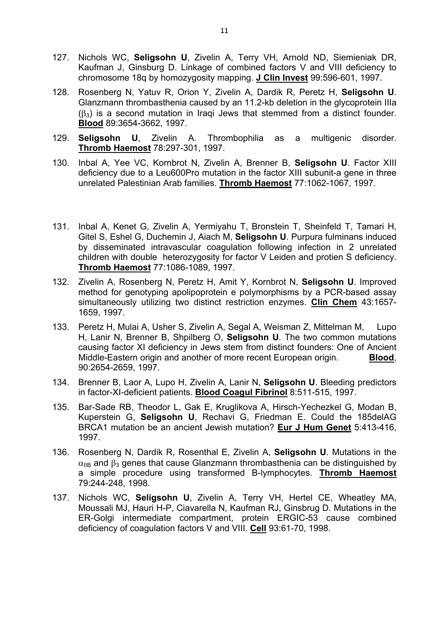- 127. Nichols WC, **Seligsohn U**, Zivelin A, Terry VH, Arnold ND, Siemieniak DR, Kaufman J, Ginsburg D. Linkage of combined factors V and VIII deficiency to chromosome 18q by homozygosity mapping. **J Clin Invest** 99:596-601, 1997.
- 128. Rosenberg N, Yatuv R, Orion Y, Zivelin A, Dardik R, Peretz H, **Seligsohn U**. Glanzmann thrombasthenia caused by an 11.2-kb deletion in the glycoprotein IIIa  $(\beta_3)$  is a second mutation in Iraqi Jews that stemmed from a distinct founder. **Blood** 89:3654-3662, 1997.
- 129. **Seligsohn U**, Zivelin A. Thrombophilia as a multigenic disorder. **Thromb Haemost** 78:297-301, 1997.
- 130. Inbal A, Yee VC, Kornbrot N, Zivelin A, Brenner B, **Seligsohn U**. Factor XIII deficiency due to a Leu600Pro mutation in the factor XIII subunit-a gene in three unrelated Palestinian Arab families. **Thromb Haemost** 77:1062-1067, 1997.
- 131. Inbal A, Kenet G, Zivelin A, Yermiyahu T, Bronstein T, Sheinfeld T, Tamari H, Gitel S, Eshel G, Duchemin J, Aiach M, **Seligsohn U**. Purpura fulminans induced by disseminated intravascular coagulation following infection in 2 unrelated children with double heterozygosity for factor V Leiden and protien S deficiency. **Thromb Haemost** 77:1086-1089, 1997.
- 132. Zivelin A, Rosenberg N, Peretz H, Amit Y, Kornbrot N, **Seligsohn U**. Improved method for genotyping apolipoprotein e polymorphisms by a PCR-based assay simultaneously utilizing two distinct restriction enzymes. **Clin Chem** 43:1657- 1659, 1997.
- 133. Peretz H, Mulai A, Usher S, Zivelin A, Segal A, Weisman Z, Mittelman M, Lupo H, Lanir N, Brenner B, Shpilberg O, **Seligsohn U**. The two common mutations causing factor XI deficiency in Jews stem from distinct founders: One of Ancient Middle-Eastern origin and another of more recent European origin. **Blood**, 90:2654-2659, 1997.
- 134. Brenner B, Laor A, Lupo H, Zivelin A, Lanir N, **Seligsohn U**. Bleeding predictors in factor-XI-deficient patients. **Blood Coagul Fibrinol** 8:511-515, 1997.
- 135. Bar-Sade RB, Theodor L, Gak E, Kruglikova A, Hirsch-Yechezkel G, Modan B, Kuperstein G, **Seligsohn U**, Rechavi G, Friedman E. Could the 185delAG BRCA1 mutation be an ancient Jewish mutation? **Eur J Hum Genet** 5:413-416, 1997.
- 136. Rosenberg N, Dardik R, Rosenthal E, Zivelin A, **Seligsohn U**. Mutations in the  $\alpha$ <sub>IIB</sub> and  $\beta_3$  genes that cause Glanzmann thrombasthenia can be distinguished by a simple procedure using transformed B-lymphocytes. **Thromb Haemost** 79:244-248, 1998.
- 137. Nichols WC, **Seligsohn U**, Zivelin A, Terry VH, Hertel CE, Wheatley MA, Moussali MJ, Hauri H-P, Ciavarella N, Kaufman RJ, Ginsbrug D. Mutations in the ER-Golgi intermediate compartment, protein ERGIC-53 cause combined deficiency of coagulation factors V and VIII. **Cell** 93:61-70, 1998.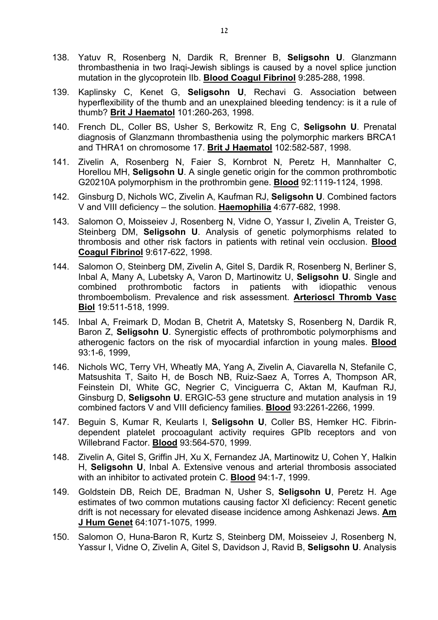- 138. Yatuv R, Rosenberg N, Dardik R, Brenner B, **Seligsohn U**. Glanzmann thrombasthenia in two Iraqi-Jewish siblings is caused by a novel splice junction mutation in the glycoprotein IIb. **Blood Coagul Fibrinol** 9:285-288, 1998.
- 139. Kaplinsky C, Kenet G, **Seligsohn U**, Rechavi G. Association between hyperflexibility of the thumb and an unexplained bleeding tendency: is it a rule of thumb? **Brit J Haematol** 101:260-263, 1998.
- 140. French DL, Coller BS, Usher S, Berkowitz R, Eng C, **Seligsohn U**. Prenatal diagnosis of Glanzmann thrombasthenia using the polymorphic markers BRCA1 and THRA1 on chromosome 17. **Brit J Haematol** 102:582-587, 1998.
- 141. Zivelin A, Rosenberg N, Faier S, Kornbrot N, Peretz H, Mannhalter C, Horellou MH, **Seligsohn U**. A single genetic origin for the common prothrombotic G20210A polymorphism in the prothrombin gene. **Blood** 92:1119-1124, 1998.
- 142. Ginsburg D, Nichols WC, Zivelin A, Kaufman RJ, **Seligsohn U**. Combined factors V and VIII deficiency – the solution. **Haemophilia** 4:677-682, 1998.
- 143. Salomon O, Moisseiev J, Rosenberg N, Vidne O, Yassur I, Zivelin A, Treister G, Steinberg DM, **Seligsohn U**. Analysis of genetic polymorphisms related to thrombosis and other risk factors in patients with retinal vein occlusion. **Blood Coagul Fibrinol** 9:617-622, 1998.
- 144. Salomon O, Steinberg DM, Zivelin A, Gitel S, Dardik R, Rosenberg N, Berliner S, Inbal A, Many A, Lubetsky A, Varon D, Martinowitz U, **Seligsohn U**. Single and combined prothrombotic factors in patients with idiopathic venous thromboembolism. Prevalence and risk assessment. **Arterioscl Thromb Vasc Biol** 19:511-518, 1999.
- 145. Inbal A, Freimark D, Modan B, Chetrit A, Matetsky S, Rosenberg N, Dardik R, Baron Z, **Seligsohn U**. Synergistic effects of prothrombotic polymorphisms and atherogenic factors on the risk of myocardial infarction in young males. **Blood** 93:1-6, 1999,
- 146. Nichols WC, Terry VH, Wheatly MA, Yang A, Zivelin A, Ciavarella N, Stefanile C, Matsushita T, Saito H, de Bosch NB, Ruiz-Saez A, Torres A, Thompson AR, Feinstein DI, White GC, Negrier C, Vinciguerra C, Aktan M, Kaufman RJ, Ginsburg D, **Seligsohn U**. ERGIC-53 gene structure and mutation analysis in 19 combined factors V and VIII deficiency families. **Blood** 93:2261-2266, 1999.
- 147. Beguin S, Kumar R, Keularts I, **Seligsohn U**, Coller BS, Hemker HC. Fibrindependent platelet procoagulant activity requires GPIb receptors and von Willebrand Factor. **Blood** 93:564-570, 1999.
- 148. Zivelin A, Gitel S, Griffin JH, Xu X, Fernandez JA, Martinowitz U, Cohen Y, Halkin H, **Seligsohn U**, Inbal A. Extensive venous and arterial thrombosis associated with an inhibitor to activated protein C. **Blood** 94:1-7, 1999.
- 149. Goldstein DB, Reich DE, Bradman N, Usher S, **Seligsohn U**, Peretz H. Age estimates of two common mutations causing factor XI deficiency: Recent genetic drift is not necessary for elevated disease incidence among Ashkenazi Jews. **Am J Hum Genet** 64:1071-1075, 1999.
- 150. Salomon O, Huna-Baron R, Kurtz S, Steinberg DM, Moisseiev J, Rosenberg N, Yassur I, Vidne O, Zivelin A, Gitel S, Davidson J, Ravid B, **Seligsohn U**. Analysis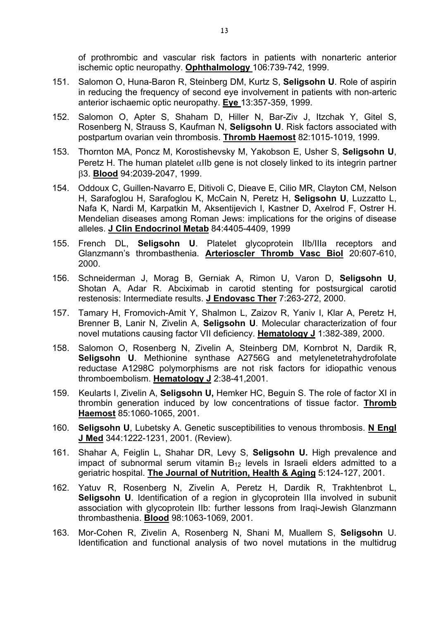of prothrombic and vascular risk factors in patients with nonarteric anterior ischemic optic neuropathy. **Ophthalmology** 106:739-742, 1999.

- 151. Salomon O, Huna-Baron R, Steinberg DM, Kurtz S, **Seligsohn U**. Role of aspirin in reducing the frequency of second eye involvement in patients with non-arteric anterior ischaemic optic neuropathy. **Eye** 13:357-359, 1999.
- 152. Salomon O, Apter S, Shaham D, Hiller N, Bar-Ziv J, Itzchak Y, Gitel S, Rosenberg N, Strauss S, Kaufman N, **Seligsohn U**. Risk factors associated with postpartum ovarian vein thrombosis. **Thromb Haemost** 82:1015-1019, 1999.
- 153. Thornton MA, Poncz M, Korostishevsky M, Yakobson E, Usher S, **Seligsohn U**, Peretz H. The human platelet  $\alpha$ IIb gene is not closely linked to its integrin partner β3. **Blood** 94:2039-2047, 1999.
- 154. Oddoux C, Guillen-Navarro E, Ditivoli C, Dieave E, Cilio MR, Clayton CM, Nelson H, Sarafoglou H, Sarafoglou K, McCain N, Peretz H, **Seligsohn U**, Luzzatto L, Nafa K, Nardi M, Karpatkin M, Aksentijevich I, Kastner D, Axelrod F, Ostrer H. Mendelian diseases among Roman Jews: implications for the origins of disease alleles. **J Clin Endocrinol Metab** 84:4405-4409, 1999
- 155. French DL, **Seligsohn U**. Platelet glycoprotein IIb/IIIa receptors and Glanzmann's thrombasthenia. **Arterioscler Thromb Vasc Biol** 20:607-610, 2000.
- 156. Schneiderman J, Morag B, Gerniak A, Rimon U, Varon D, **Seligsohn U**, Shotan A, Adar R. Abciximab in carotid stenting for postsurgical carotid restenosis: Intermediate results. **J Endovasc Ther** 7:263-272, 2000.
- 157. Tamary H, Fromovich-Amit Y, Shalmon L, Zaizov R, Yaniv I, Klar A, Peretz H, Brenner B, Lanir N, Zivelin A, **Seligsohn U**. Molecular characterization of four novel mutations causing factor VII deficiency. **Hematology J** 1:382-389, 2000.
- 158. Salomon O, Rosenberg N, Zivelin A, Steinberg DM, Kornbrot N, Dardik R, **Seligsohn U**. Methionine synthase A2756G and metylenetetrahydrofolate reductase A1298C polymorphisms are not risk factors for idiopathic venous thromboembolism. **Hematology J** 2:38-41,2001.
- 159. Keularts I, Zivelin A, **Seligsohn U,** Hemker HC, Beguin S. The role of factor XI in thrombin generation induced by low concentrations of tissue factor. **Thromb Haemost** 85:1060-1065, 2001.
- 160. **Seligsohn U**, Lubetsky A. Genetic susceptibilities to venous thrombosis. **N Engl J Med** 344:1222-1231, 2001. (Review).
- 161. Shahar A, Feiglin L, Shahar DR, Levy S, **Seligsohn U.** High prevalence and impact of subnormal serum vitamin  $\overline{B}_{12}$  levels in Israeli elders admitted to a geriatric hospital. **The Journal of Nutrition, Health & Aging** 5:124-127, 2001.
- 162. Yatuv R, Rosenberg N, Zivelin A, Peretz H, Dardik R, Trakhtenbrot L, **Seligsohn U.** Identification of a region in glycoprotein IIIa involved in subunit association with glycoprotein IIb: further lessons from Iraqi-Jewish Glanzmann thrombasthenia. **Blood** 98:1063-1069, 2001.
- 163. Mor-Cohen R, Zivelin A, Rosenberg N, Shani M, Muallem S, **Seligsohn** U. Identification and functional analysis of two novel mutations in the multidrug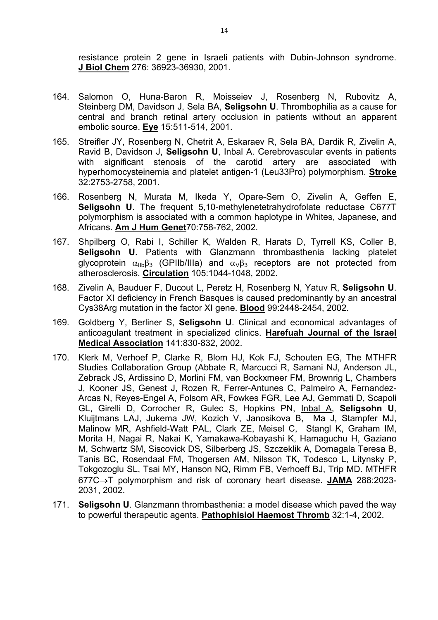resistance protein 2 gene in Israeli patients with Dubin-Johnson syndrome. **J Biol Chem** 276: 36923-36930, 2001.

- 164. Salomon O, Huna-Baron R, Moisseiev J, Rosenberg N, Rubovitz A, Steinberg DM, Davidson J, Sela BA, **Seligsohn U**. Thrombophilia as a cause for central and branch retinal artery occlusion in patients without an apparent embolic source. **Eye** 15:511-514, 2001.
- 165. Streifler JY, Rosenberg N, Chetrit A, Eskaraev R, Sela BA, Dardik R, Zivelin A, Ravid B, Davidson J, **Seligsohn U**, Inbal A. Cerebrovascular events in patients with significant stenosis of the carotid artery are associated with hyperhomocysteinemia and platelet antigen-1 (Leu33Pro) polymorphism. **Stroke** 32:2753-2758, 2001.
- 166. Rosenberg N, Murata M, Ikeda Y, Opare-Sem O, Zivelin A, Geffen E, **Seligsohn U**. The frequent 5,10-methylenetetrahydrofolate reductase C677T polymorphism is associated with a common haplotype in Whites, Japanese, and Africans. **Am J Hum Genet**70:758-762, 2002.
- 167. Shpilberg O, Rabi I, Schiller K, Walden R, Harats D, Tyrrell KS, Coller B, **Seligsohn U**. Patients with Glanzmann thrombasthenia lacking platelet glycoprotein  $\alpha_{11b} \beta_3$  (GPIIb/IIIa) and  $\alpha_1 \beta_3$  receptors are not protected from atherosclerosis. **Circulation** 105:1044-1048, 2002.
- 168. Zivelin A, Bauduer F, Ducout L, Peretz H, Rosenberg N, Yatuv R, **Seligsohn U**. Factor XI deficiency in French Basques is caused predominantly by an ancestral Cys38Arg mutation in the factor XI gene. **Blood** 99:2448-2454, 2002.
- 169. Goldberg Y, Berliner S, **Seligsohn U**. Clinical and economical advantages of anticoagulant treatment in specialized clinics. **Harefuah Journal of the Israel Medical Association** 141:830-832, 2002.
- 170. Klerk M, Verhoef P, Clarke R, Blom HJ, Kok FJ, Schouten EG, The MTHFR Studies Collaboration Group (Abbate R, Marcucci R, Samani NJ, Anderson JL, Zebrack JS, Ardissino D, Morlini FM, van Bockxmeer FM, Brownrig L, Chambers J, Kooner JS, Genest J, Rozen R, Ferrer-Antunes C, Palmeiro A, Fernandez-Arcas N, Reyes-Engel A, Folsom AR, Fowkes FGR, Lee AJ, Gemmati D, Scapoli GL, Girelli D, Corrocher R, Gulec S, Hopkins PN, Inbal A, **Seligsohn U**, Kluijtmans LAJ, Jukema JW, Kozich V, Janosikova B, Ma J, Stampfer MJ, Malinow MR, Ashfield-Watt PAL, Clark ZE, Meisel C, Stangl K, Graham IM, Morita H, Nagai R, Nakai K, Yamakawa-Kobayashi K, Hamaguchu H, Gaziano M, Schwartz SM, Siscovick DS, Silberberg JS, Szczeklik A, Domagala Teresa B, Tanis BC, Rosendaal FM, Thogersen AM, Nilsson TK, Todesco L, Litynsky P, Tokgozoglu SL, Tsai MY, Hanson NQ, Rimm FB, Verhoeff BJ, Trip MD. MTHFR 677C→T polymorphism and risk of coronary heart disease. **JAMA** 288:2023- 2031, 2002.
- 171. **Seligsohn U**. Glanzmann thrombasthenia: a model disease which paved the way to powerful therapeutic agents. **Pathophisiol Haemost Thromb** 32:1-4, 2002.